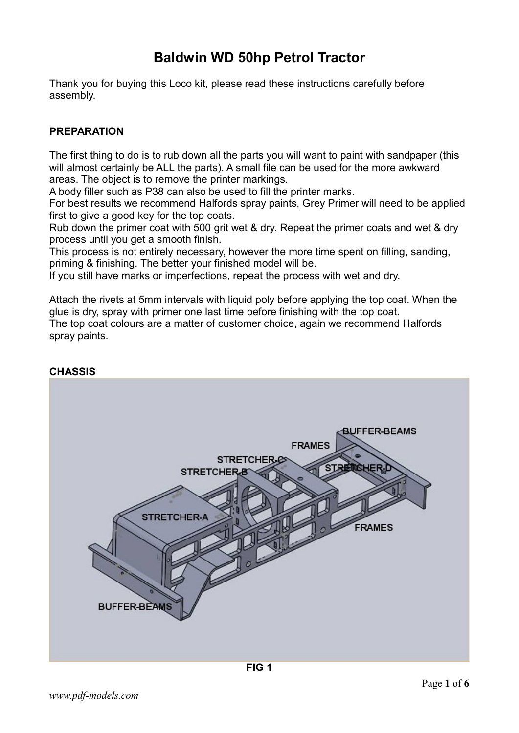## Baldwin WD 50hp Petrol Tractor

Thank you for buying this Loco kit, please read these instructions carefully before assembly.

## PREPARATION

The first thing to do is to rub down all the parts you will want to paint with sandpaper (this will almost certainly be ALL the parts). A small file can be used for the more awkward areas. The object is to remove the printer markings.

A body filler such as P38 can also be used to fill the printer marks.

For best results we recommend Halfords spray paints, Grey Primer will need to be applied first to give a good key for the top coats.

Rub down the primer coat with 500 grit wet & dry. Repeat the primer coats and wet & dry process until you get a smooth finish.

This process is not entirely necessary, however the more time spent on filling, sanding, priming & finishing. The better your finished model will be.

If you still have marks or imperfections, repeat the process with wet and dry.

Attach the rivets at 5mm intervals with liquid poly before applying the top coat. When the glue is dry, spray with primer one last time before finishing with the top coat. The top coat colours are a matter of customer choice, again we recommend Halfords spray paints.



## **CHASSIS**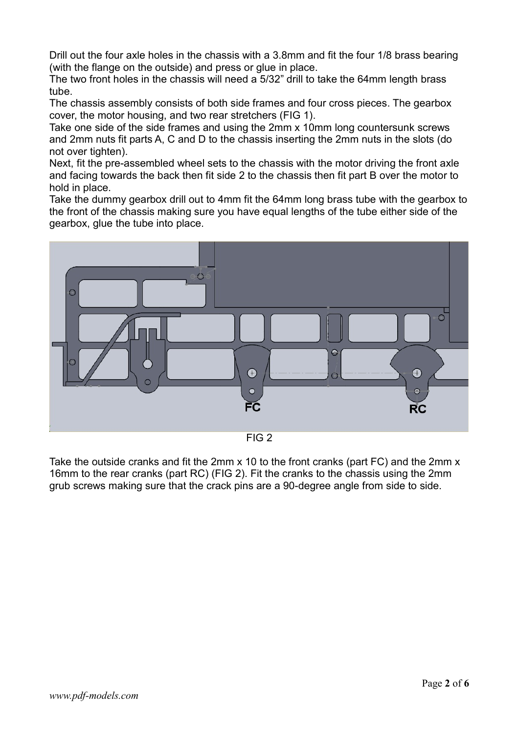Drill out the four axle holes in the chassis with a 3.8mm and fit the four 1/8 brass bearing (with the flange on the outside) and press or glue in place.

The two front holes in the chassis will need a 5/32" drill to take the 64mm length brass tube.

The chassis assembly consists of both side frames and four cross pieces. The gearbox cover, the motor housing, and two rear stretchers (FIG 1).

Take one side of the side frames and using the 2mm x 10mm long countersunk screws and 2mm nuts fit parts A, C and D to the chassis inserting the 2mm nuts in the slots (do not over tighten).

Next, fit the pre-assembled wheel sets to the chassis with the motor driving the front axle and facing towards the back then fit side 2 to the chassis then fit part B over the motor to hold in place.

Take the dummy gearbox drill out to 4mm fit the 64mm long brass tube with the gearbox to the front of the chassis making sure you have equal lengths of the tube either side of the gearbox, glue the tube into place.



FIG 2

Take the outside cranks and fit the 2mm x 10 to the front cranks (part FC) and the 2mm x 16mm to the rear cranks (part RC) (FIG 2). Fit the cranks to the chassis using the 2mm grub screws making sure that the crack pins are a 90-degree angle from side to side.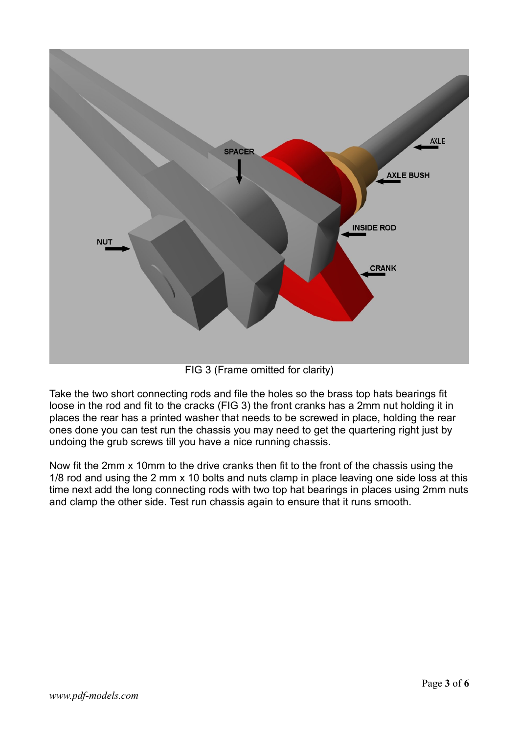

FIG 3 (Frame omitted for clarity)

Take the two short connecting rods and file the holes so the brass top hats bearings fit loose in the rod and fit to the cracks (FIG 3) the front cranks has a 2mm nut holding it in places the rear has a printed washer that needs to be screwed in place, holding the rear ones done you can test run the chassis you may need to get the quartering right just by undoing the grub screws till you have a nice running chassis.

Now fit the 2mm x 10mm to the drive cranks then fit to the front of the chassis using the 1/8 rod and using the 2 mm x 10 bolts and nuts clamp in place leaving one side loss at this time next add the long connecting rods with two top hat bearings in places using 2mm nuts and clamp the other side. Test run chassis again to ensure that it runs smooth.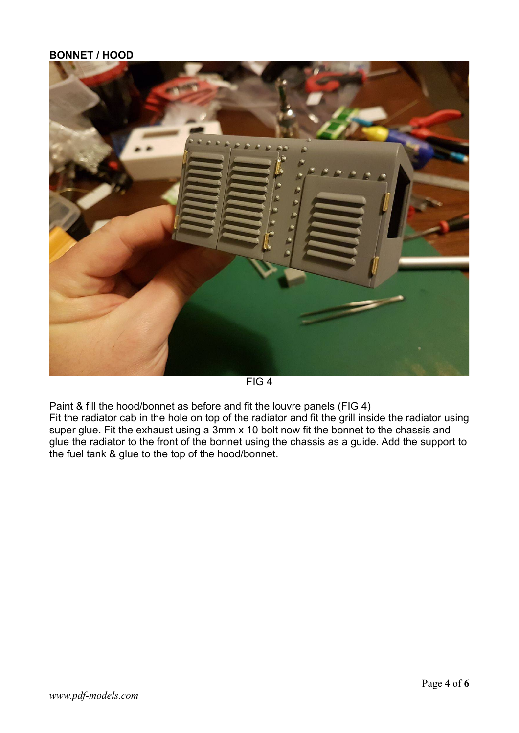## BONNET / HOOD



FIG 4

Paint & fill the hood/bonnet as before and fit the louvre panels (FIG 4) Fit the radiator cab in the hole on top of the radiator and fit the grill inside the radiator using super glue. Fit the exhaust using a 3mm x 10 bolt now fit the bonnet to the chassis and glue the radiator to the front of the bonnet using the chassis as a guide. Add the support to the fuel tank & glue to the top of the hood/bonnet.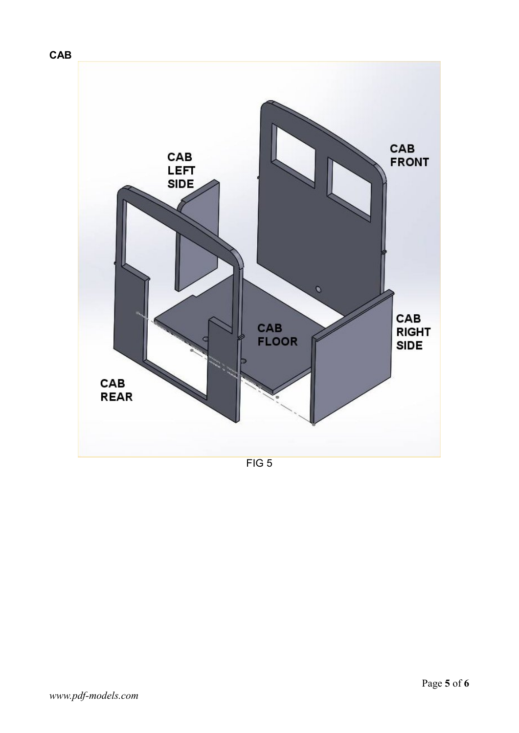

FIG 5